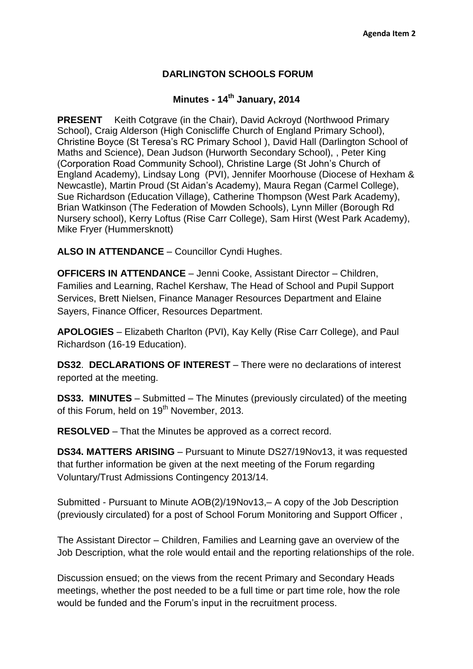## **DARLINGTON SCHOOLS FORUM**

## **Minutes - 14th January, 2014**

**PRESENT** Keith Cotgrave (in the Chair), David Ackroyd (Northwood Primary School), Craig Alderson (High Coniscliffe Church of England Primary School), Christine Boyce (St Teresa's RC Primary School ), David Hall (Darlington School of Maths and Science), Dean Judson (Hurworth Secondary School), , Peter King (Corporation Road Community School), Christine Large (St John's Church of England Academy), Lindsay Long (PVI), Jennifer Moorhouse (Diocese of Hexham & Newcastle), Martin Proud (St Aidan's Academy), Maura Regan (Carmel College), Sue Richardson (Education Village), Catherine Thompson (West Park Academy), Brian Watkinson (The Federation of Mowden Schools), Lynn Miller (Borough Rd Nursery school), Kerry Loftus (Rise Carr College), Sam Hirst (West Park Academy), Mike Fryer (Hummersknott)

**ALSO IN ATTENDANCE** – Councillor Cyndi Hughes.

**OFFICERS IN ATTENDANCE** – Jenni Cooke, Assistant Director – Children, Families and Learning, Rachel Kershaw, The Head of School and Pupil Support Services, Brett Nielsen, Finance Manager Resources Department and Elaine Sayers, Finance Officer, Resources Department.

**APOLOGIES** – Elizabeth Charlton (PVI), Kay Kelly (Rise Carr College), and Paul Richardson (16-19 Education).

**DS32**. **DECLARATIONS OF INTEREST** – There were no declarations of interest reported at the meeting.

**DS33. MINUTES** – Submitted – The Minutes (previously circulated) of the meeting of this Forum, held on 19<sup>th</sup> November, 2013.

**RESOLVED** – That the Minutes be approved as a correct record.

**DS34. MATTERS ARISING** – Pursuant to Minute DS27/19Nov13, it was requested that further information be given at the next meeting of the Forum regarding Voluntary/Trust Admissions Contingency 2013/14.

Submitted - Pursuant to Minute AOB(2)/19Nov13,– A copy of the Job Description (previously circulated) for a post of School Forum Monitoring and Support Officer ,

The Assistant Director – Children, Families and Learning gave an overview of the Job Description, what the role would entail and the reporting relationships of the role.

Discussion ensued; on the views from the recent Primary and Secondary Heads meetings, whether the post needed to be a full time or part time role, how the role would be funded and the Forum's input in the recruitment process.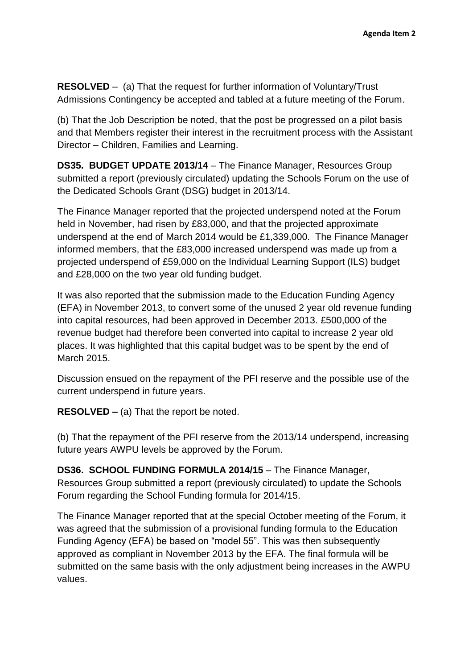**RESOLVED** – (a) That the request for further information of Voluntary/Trust Admissions Contingency be accepted and tabled at a future meeting of the Forum.

(b) That the Job Description be noted, that the post be progressed on a pilot basis and that Members register their interest in the recruitment process with the Assistant Director – Children, Families and Learning.

**DS35. BUDGET UPDATE 2013/14** – The Finance Manager, Resources Group submitted a report (previously circulated) updating the Schools Forum on the use of the Dedicated Schools Grant (DSG) budget in 2013/14.

The Finance Manager reported that the projected underspend noted at the Forum held in November, had risen by £83,000, and that the projected approximate underspend at the end of March 2014 would be £1,339,000. The Finance Manager informed members, that the £83,000 increased underspend was made up from a projected underspend of £59,000 on the Individual Learning Support (ILS) budget and £28,000 on the two year old funding budget.

It was also reported that the submission made to the Education Funding Agency (EFA) in November 2013, to convert some of the unused 2 year old revenue funding into capital resources, had been approved in December 2013. £500,000 of the revenue budget had therefore been converted into capital to increase 2 year old places. It was highlighted that this capital budget was to be spent by the end of March 2015.

Discussion ensued on the repayment of the PFI reserve and the possible use of the current underspend in future years.

**RESOLVED –** (a) That the report be noted.

(b) That the repayment of the PFI reserve from the 2013/14 underspend, increasing future years AWPU levels be approved by the Forum.

**DS36. SCHOOL FUNDING FORMULA 2014/15** – The Finance Manager, Resources Group submitted a report (previously circulated) to update the Schools Forum regarding the School Funding formula for 2014/15.

The Finance Manager reported that at the special October meeting of the Forum, it was agreed that the submission of a provisional funding formula to the Education Funding Agency (EFA) be based on "model 55". This was then subsequently approved as compliant in November 2013 by the EFA. The final formula will be submitted on the same basis with the only adjustment being increases in the AWPU values.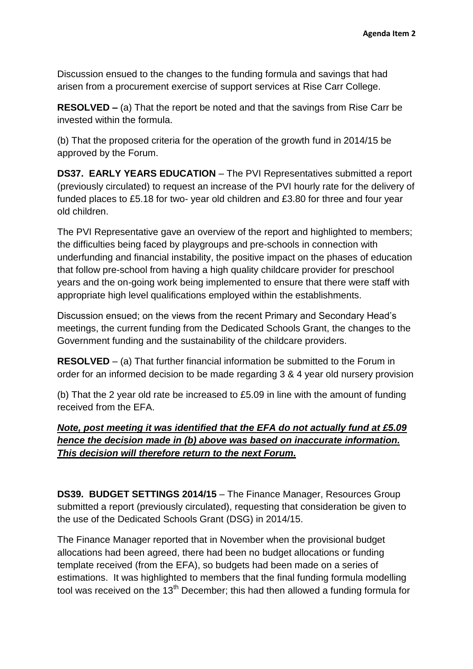Discussion ensued to the changes to the funding formula and savings that had arisen from a procurement exercise of support services at Rise Carr College.

**RESOLVED –** (a) That the report be noted and that the savings from Rise Carr be invested within the formula.

(b) That the proposed criteria for the operation of the growth fund in 2014/15 be approved by the Forum.

**DS37. EARLY YEARS EDUCATION** – The PVI Representatives submitted a report (previously circulated) to request an increase of the PVI hourly rate for the delivery of funded places to £5.18 for two- year old children and £3.80 for three and four year old children.

The PVI Representative gave an overview of the report and highlighted to members; the difficulties being faced by playgroups and pre-schools in connection with underfunding and financial instability, the positive impact on the phases of education that follow pre-school from having a high quality childcare provider for preschool years and the on-going work being implemented to ensure that there were staff with appropriate high level qualifications employed within the establishments.

Discussion ensued; on the views from the recent Primary and Secondary Head's meetings, the current funding from the Dedicated Schools Grant, the changes to the Government funding and the sustainability of the childcare providers.

**RESOLVED** – (a) That further financial information be submitted to the Forum in order for an informed decision to be made regarding 3 & 4 year old nursery provision

(b) That the 2 year old rate be increased to £5.09 in line with the amount of funding received from the EFA.

## *Note, post meeting it was identified that the EFA do not actually fund at £5.09 hence the decision made in (b) above was based on inaccurate information. This decision will therefore return to the next Forum.*

**DS39. BUDGET SETTINGS 2014/15** – The Finance Manager, Resources Group submitted a report (previously circulated), requesting that consideration be given to the use of the Dedicated Schools Grant (DSG) in 2014/15.

The Finance Manager reported that in November when the provisional budget allocations had been agreed, there had been no budget allocations or funding template received (from the EFA), so budgets had been made on a series of estimations. It was highlighted to members that the final funding formula modelling tool was received on the 13<sup>th</sup> December; this had then allowed a funding formula for